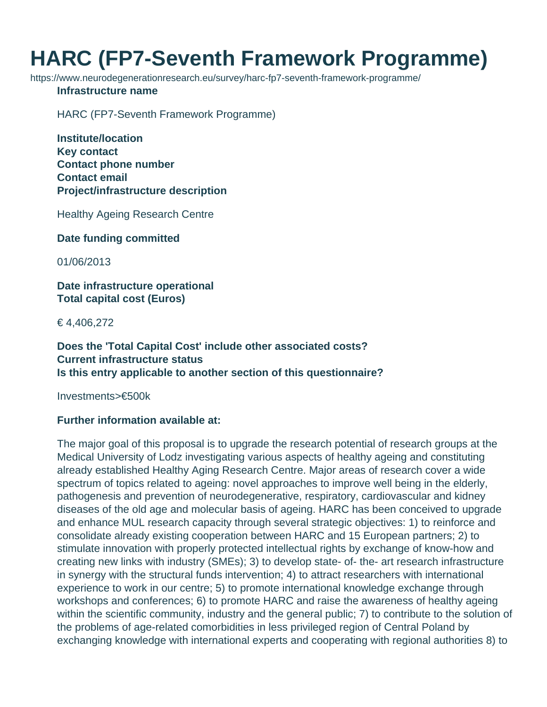## **HARC (FP7-Seventh Framework Programme)**

https://www.neurodegenerationresearch.eu/survey/harc-fp7-seventh-framework-programme/

## **Infrastructure name**

HARC (FP7-Seventh Framework Programme)

**Institute/location Key contact Contact phone number Contact email Project/infrastructure description**

Healthy Ageing Research Centre

**Date funding committed**

01/06/2013

**Date infrastructure operational Total capital cost (Euros)**

€ 4,406,272

**Does the 'Total Capital Cost' include other associated costs? Current infrastructure status Is this entry applicable to another section of this questionnaire?**

Investments>€500k

## **Further information available at:**

The major goal of this proposal is to upgrade the research potential of research groups at the Medical University of Lodz investigating various aspects of healthy ageing and constituting already established Healthy Aging Research Centre. Major areas of research cover a wide spectrum of topics related to ageing: novel approaches to improve well being in the elderly, pathogenesis and prevention of neurodegenerative, respiratory, cardiovascular and kidney diseases of the old age and molecular basis of ageing. HARC has been conceived to upgrade and enhance MUL research capacity through several strategic objectives: 1) to reinforce and consolidate already existing cooperation between HARC and 15 European partners; 2) to stimulate innovation with properly protected intellectual rights by exchange of know-how and creating new links with industry (SMEs); 3) to develop state- of- the- art research infrastructure in synergy with the structural funds intervention; 4) to attract researchers with international experience to work in our centre; 5) to promote international knowledge exchange through workshops and conferences; 6) to promote HARC and raise the awareness of healthy ageing within the scientific community, industry and the general public; 7) to contribute to the solution of the problems of age-related comorbidities in less privileged region of Central Poland by exchanging knowledge with international experts and cooperating with regional authorities 8) to